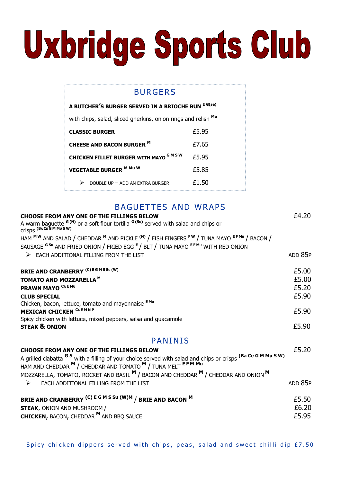# Uxbridge Sports Club

# BURGERS

| A BUTCHER'S BURGER SERVED IN A BRIOCHE BUN E G(se)            |       |
|---------------------------------------------------------------|-------|
| with chips, salad, sliced gherkins, onion rings and relish Mu |       |
| <b>CLASSIC BURGER</b>                                         | £5.95 |
| <b>CHEESE AND BACON BURGER M</b>                              | £7.65 |
| <b>CHICKEN FILLET BURGER WITH MAYO GMSW</b>                   | £5.95 |
| <b>VEGETABLE BURGER M Mu W</b>                                | £5.85 |
| DOUBLE UP - ADD AN EXTRA BURGER                               | £1.50 |

# BAGUETTES AND WRAPS

| <b>CHOOSE FROM ANY ONE OF THE FILLINGS BELOW</b>                                                                                                                               | £4.20   |
|--------------------------------------------------------------------------------------------------------------------------------------------------------------------------------|---------|
| A warm baguette <sup>G(N)</sup> or a soft flour tortilla <sup>G(Su)</sup> served with salad and chips or<br>Crisps (BACE GM Mu SW)                                             |         |
| HAM <sup>MW</sup> AND SALAD / CHEDDAR <sup>M</sup> AND PICKLE <sup>(N)</sup> / FISH FINGERS F <sup>W</sup> / TUNA MAYO EFMU / BACON /                                          |         |
| SAUSAGE GSU AND FRIED ONION / FRIED EGG E / BLT / TUNA MAYO EFMU WITH RED ONION                                                                                                |         |
| $\triangleright$ EACH ADDITIONAL FILLING FROM THE LIST                                                                                                                         | ADD 85P |
| <b>BRIE AND CRANBERRY (C) EGMSSU(W)</b>                                                                                                                                        | £5.00   |
| TOMATO AND MOZZARELLA <sup>M</sup>                                                                                                                                             | £5.00   |
| PRAWN MAYO <sup>CREMU</sup>                                                                                                                                                    | £5.20   |
| <b>CLUB SPECIAL</b>                                                                                                                                                            | £5.90   |
| Chicken, bacon, lettuce, tomato and mayonnaise EMU                                                                                                                             |         |
| <b>MEXICAN CHICKEN CAEMNP</b>                                                                                                                                                  | £5.90   |
| Spicy chicken with lettuce, mixed peppers, salsa and guacamole                                                                                                                 |         |
| <b>STEAK &amp; ONION</b>                                                                                                                                                       | £5.90   |
| <b>PANINIS</b>                                                                                                                                                                 |         |
| CHOOSE FROM ANY ONE OF THE FILLINGS BELOW                                                                                                                                      | £5.20   |
| A grilled ciabatta $G S$ with a filling of your choice served with salad and chips or crisps (Ba Ce G M Mu S W)<br>HAM AND CHEDDAR M / CHEDDAR AND TOMATO M / TUNA MELT EFM Mu |         |
| MOZZARELLA, TOMATO, ROCKET AND BASIL M / BACON AND CHEDDAR M / CHEDDAR AND ONION M                                                                                             |         |
| EACH ADDITIONAL FILLING FROM THE LIST<br>➤                                                                                                                                     | ADD 85P |
| BRIE AND CRANBERRY (C) E G M S Su (W)M / BRIE AND BACON M                                                                                                                      | £5.50   |
| <b>STEAK, ONION AND MUSHROOM /</b>                                                                                                                                             | £6.20   |
| <b>CHICKEN, BACON, CHEDDAR M AND BBQ SAUCE</b>                                                                                                                                 | £5.95   |